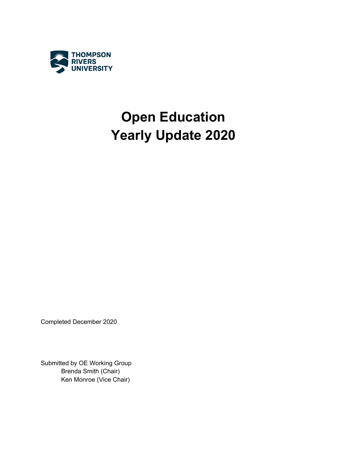

# **Open Education Yearly Update 2020**

Completed December 2020

Submitted by OE Working Group Brenda Smith (Chair) Ken Monroe (Vice Chair)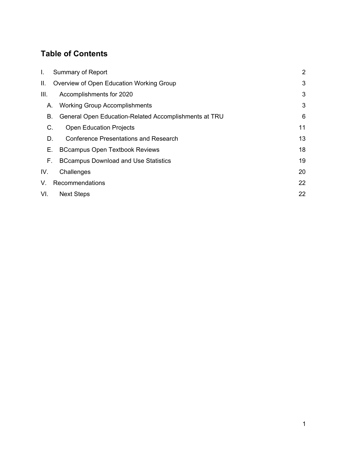### **Table of Contents**

| L.   | <b>Summary of Report</b>                              |    |  |  |  |  |
|------|-------------------------------------------------------|----|--|--|--|--|
| II.  | 3                                                     |    |  |  |  |  |
| III. | Accomplishments for 2020                              | 3  |  |  |  |  |
| А.   | <b>Working Group Accomplishments</b>                  | 3  |  |  |  |  |
| В.   | General Open Education-Related Accomplishments at TRU | 6  |  |  |  |  |
| C.   | <b>Open Education Projects</b>                        | 11 |  |  |  |  |
| D.   | <b>Conference Presentations and Research</b>          | 13 |  |  |  |  |
| Е.   | <b>BCcampus Open Textbook Reviews</b>                 | 18 |  |  |  |  |
| F.   | <b>BCcampus Download and Use Statistics</b>           | 19 |  |  |  |  |
| IV.  | Challenges                                            | 20 |  |  |  |  |
| V.   | Recommendations                                       | 22 |  |  |  |  |
| VI.  | <b>Next Steps</b>                                     | 22 |  |  |  |  |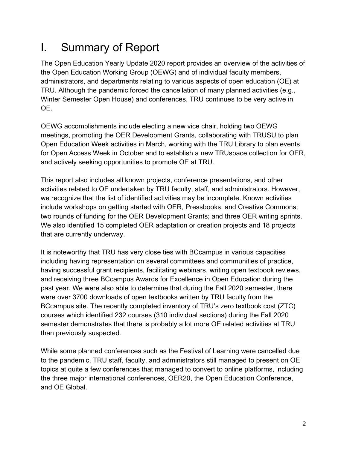## <span id="page-2-0"></span>I. Summary of Report

The Open Education Yearly Update 2020 report provides an overview of the activities of the Open Education Working Group (OEWG) and of individual faculty members, administrators, and departments relating to various aspects of open education (OE) at TRU. Although the pandemic forced the cancellation of many planned activities (e.g., Winter Semester Open House) and conferences, TRU continues to be very active in OE.

OEWG accomplishments include electing a new vice chair, holding two OEWG meetings, promoting the OER Development Grants, collaborating with TRUSU to plan Open Education Week activities in March, working with the TRU Library to plan events for Open Access Week in October and to establish a new TRUspace collection for OER, and actively seeking opportunities to promote OE at TRU.

This report also includes all known projects, conference presentations, and other activities related to OE undertaken by TRU faculty, staff, and administrators. However, we recognize that the list of identified activities may be incomplete. Known activities include workshops on getting started with OER, Pressbooks, and Creative Commons; two rounds of funding for the OER Development Grants; and three OER writing sprints. We also identified 15 completed OER adaptation or creation projects and 18 projects that are currently underway.

It is noteworthy that TRU has very close ties with BCcampus in various capacities including having representation on several committees and communities of practice, having successful grant recipients, facilitating webinars, writing open textbook reviews, and receiving three BCcampus Awards for Excellence in Open Education during the past year. We were also able to determine that during the Fall 2020 semester, there were over 3700 downloads of open textbooks written by TRU faculty from the BCcampus site. The recently completed inventory of TRU's zero textbook cost (ZTC) courses which identified 232 courses (310 individual sections) during the Fall 2020 semester demonstrates that there is probably a lot more OE related activities at TRU than previously suspected.

While some planned conferences such as the Festival of Learning were cancelled due to the pandemic, TRU staff, faculty, and administrators still managed to present on OE topics at quite a few conferences that managed to convert to online platforms, including the three major international conferences, OER20, the Open Education Conference, and OE Global.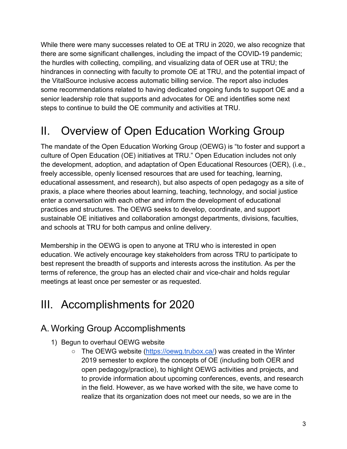While there were many successes related to OE at TRU in 2020, we also recognize that there are some significant challenges, including the impact of the COVID-19 pandemic; the hurdles with collecting, compiling, and visualizing data of OER use at TRU; the hindrances in connecting with faculty to promote OE at TRU, and the potential impact of the VitalSource inclusive access automatic billing service. The report also includes some recommendations related to having dedicated ongoing funds to support OE and a senior leadership role that supports and advocates for OE and identifies some next steps to continue to build the OE community and activities at TRU.

## <span id="page-3-0"></span>II. Overview of Open Education Working Group

The mandate of the Open Education Working Group (OEWG) is "to foster and support a culture of Open Education (OE) initiatives at TRU." Open Education includes not only the development, adoption, and adaptation of Open Educational Resources (OER), (i.e., freely accessible, openly licensed resources that are used for teaching, learning, educational assessment, and research), but also aspects of open pedagogy as a site of praxis, a place where theories about learning, teaching, technology, and social justice enter a conversation with each other and inform the development of educational practices and structures. The OEWG seeks to develop, coordinate, and support sustainable OE initiatives and collaboration amongst departments, divisions, faculties, and schools at TRU for both campus and online delivery.

Membership in the OEWG is open to anyone at TRU who is interested in open education. We actively encourage key stakeholders from across TRU to participate to best represent the breadth of supports and interests across the institution. As per the terms of reference, the group has an elected chair and vice-chair and holds regular meetings at least once per semester or as requested.

## <span id="page-3-1"></span>III. Accomplishments for 2020

### <span id="page-3-2"></span>A. Working Group Accomplishments

- 1) Begun to overhaul OEWG website
	- The OEWG website [\(https://oewg.trubox.ca/\)](https://oewg.trubox.ca/) was created in the Winter 2019 semester to explore the concepts of OE (including both OER and open pedagogy/practice), to highlight OEWG activities and projects, and to provide information about upcoming conferences, events, and research in the field. However, as we have worked with the site, we have come to realize that its organization does not meet our needs, so we are in the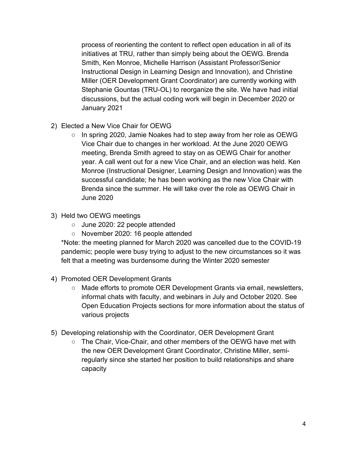process of reorienting the content to reflect open education in all of its initiatives at TRU, rather than simply being about the OEWG. Brenda Smith, Ken Monroe, Michelle Harrison (Assistant Professor/Senior Instructional Design in Learning Design and Innovation), and Christine Miller (OER Development Grant Coordinator) are currently working with Stephanie Gountas (TRU-OL) to reorganize the site. We have had initial discussions, but the actual coding work will begin in December 2020 or January 2021

- 2) Elected a New Vice Chair for OEWG
	- In spring 2020, Jamie Noakes had to step away from her role as OEWG Vice Chair due to changes in her workload. At the June 2020 OEWG meeting, Brenda Smith agreed to stay on as OEWG Chair for another year. A call went out for a new Vice Chair, and an election was held. Ken Monroe (Instructional Designer, Learning Design and Innovation) was the successful candidate; he has been working as the new Vice Chair with Brenda since the summer. He will take over the role as OEWG Chair in June 2020
- 3) Held two OEWG meetings
	- June 2020: 22 people attended
	- November 2020: 16 people attended

\*Note: the meeting planned for March 2020 was cancelled due to the COVID-19 pandemic; people were busy trying to adjust to the new circumstances so it was felt that a meeting was burdensome during the Winter 2020 semester

- 4) Promoted OER Development Grants
	- Made efforts to promote OER Development Grants via email, newsletters, informal chats with faculty, and webinars in July and October 2020. See Open Education Projects sections for more information about the status of various projects
- 5) Developing relationship with the Coordinator, OER Development Grant
	- The Chair, Vice-Chair, and other members of the OEWG have met with the new OER Development Grant Coordinator, Christine Miller, semiregularly since she started her position to build relationships and share capacity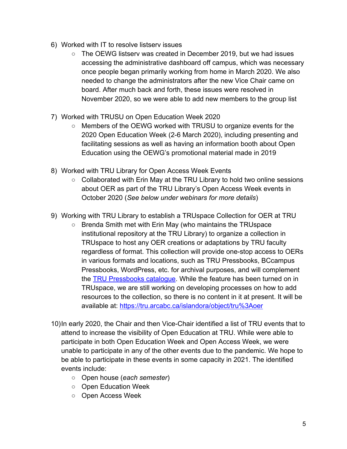- 6) Worked with IT to resolve listserv issues
	- The OEWG listsery was created in December 2019, but we had issues accessing the administrative dashboard off campus, which was necessary once people began primarily working from home in March 2020. We also needed to change the administrators after the new Vice Chair came on board. After much back and forth, these issues were resolved in November 2020, so we were able to add new members to the group list
- 7) Worked with TRUSU on Open Education Week 2020
	- Members of the OEWG worked with TRUSU to organize events for the 2020 Open Education Week (2-6 March 2020), including presenting and facilitating sessions as well as having an information booth about Open Education using the OEWG's promotional material made in 2019
- 8) Worked with TRU Library for Open Access Week Events
	- Collaborated with Erin May at the TRU Library to hold two online sessions about OER as part of the TRU Library's Open Access Week events in October 2020 (*See below under webinars for more details*)
- 9) Working with TRU Library to establish a TRUspace Collection for OER at TRU
	- Brenda Smith met with Erin May (who maintains the TRUspace institutional repository at the TRU Library) to organize a collection in TRUspace to host any OER creations or adaptations by TRU faculty regardless of format. This collection will provide one-stop access to OERs in various formats and locations, such as TRU Pressbooks, BCcampus Pressbooks, WordPress, etc. for archival purposes, and will complement the [TRU Pressbooks catalogue.](https://pressbooks.tru.ca/catalog/) While the feature has been turned on in TRUspace, we are still working on developing processes on how to add resources to the collection, so there is no content in it at present. It will be available at:<https://tru.arcabc.ca/islandora/object/tru%3Aoer>
- 10)In early 2020, the Chair and then Vice-Chair identified a list of TRU events that to attend to increase the visibility of Open Education at TRU. While were able to participate in both Open Education Week and Open Access Week, we were unable to participate in any of the other events due to the pandemic. We hope to be able to participate in these events in some capacity in 2021. The identified events include:
	- Open house (*each semester*)
	- Open Education Week
	- Open Access Week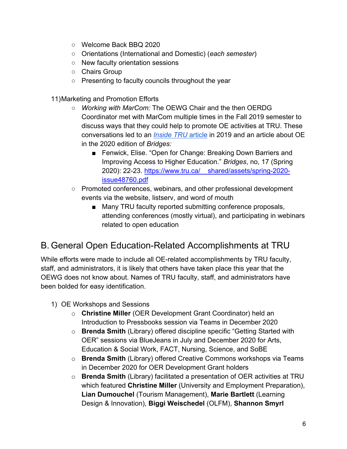- Welcome Back BBQ 2020
- Orientations (International and Domestic) (*each semester*)
- New faculty orientation sessions
- Chairs Group
- Presenting to faculty councils throughout the year
- 11)Marketing and Promotion Efforts
	- *Working with MarCom:* The OEWG Chair and the then OERDG Coordinator met with MarCom multiple times in the Fall 2019 semester to discuss ways that they could help to promote OE activities at TRU. These conversations led to an *[Inside TRU](https://inside.tru.ca/2019/10/02/tru-empowers-faculty-to-lower-costs-for-students/)* [article](https://inside.tru.ca/2019/10/02/tru-empowers-faculty-to-lower-costs-for-students/) in 2019 and an article about OE in the 2020 edition of *Bridges:*
		- Fenwick, Elise. "Open for Change: Breaking Down Barriers and Improving Access to Higher Education." *Bridges*, no, 17 (Spring 2020): 22-23. [https://www.tru.ca/\\_\\_shared/assets/spring-2020](https://www.tru.ca/__shared/assets/spring-2020-issue48760.pdf) [issue48760.pdf](https://www.tru.ca/__shared/assets/spring-2020-issue48760.pdf)
	- Promoted conferences, webinars, and other professional development events via the website, listserv, and word of mouth
		- Many TRU faculty reported submitting conference proposals, attending conferences (mostly virtual), and participating in webinars related to open education

### <span id="page-6-0"></span>B. General Open Education-Related Accomplishments at TRU

While efforts were made to include all OE-related accomplishments by TRU faculty, staff, and administrators, it is likely that others have taken place this year that the OEWG does not know about. Names of TRU faculty, staff, and administrators have been bolded for easy identification.

- 1) OE Workshops and Sessions
	- o **Christine Miller** (OER Development Grant Coordinator) held an Introduction to Pressbooks session via Teams in December 2020
	- o **Brenda Smith** (Library) offered discipline specific "Getting Started with OER" sessions via BlueJeans in July and December 2020 for Arts, Education & Social Work, FACT, Nursing, Science, and SoBE
	- o **Brenda Smith** (Library) offered Creative Commons workshops via Teams in December 2020 for OER Development Grant holders
	- o **Brenda Smith** (Library) facilitated a presentation of OER activities at TRU which featured **Christine Miller** (University and Employment Preparation), **Lian Dumouchel** (Tourism Management), **Marie Bartlett** (Learning Design & Innovation), **Biggi Weischedel** (OLFM), **Shannon Smyrl**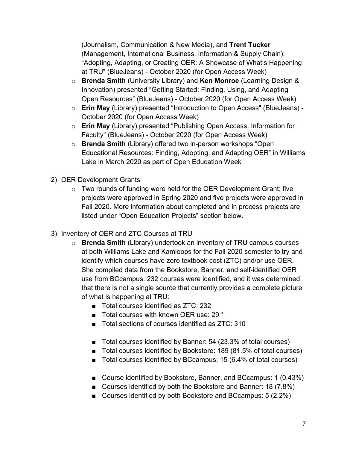(Journalism, Communication & New Media), and **Trent Tucker** (Management, International Business, Information & Supply Chain): "Adopting, Adapting, or Creating OER: A Showcase of What's Happening at TRU" (BlueJeans) - October 2020 (for Open Access Week)

- o **Brenda Smith** (University Library) and **Ken Monroe** (Learning Design & Innovation) presented "Getting Started: Finding, Using, and Adapting Open Resources" (BlueJeans) - October 2020 (for Open Access Week)
- o **Erin May** (Library) presented "Introduction to Open Access" (BlueJeans) October 2020 (for Open Access Week)
- o **Erin May** (Library) presented "Publishing Open Access: Information for Faculty" (BlueJeans) - October 2020 (for Open Access Week)
- o **Brenda Smith** (Library) offered two in-person workshops "Open Educational Resources: Finding, Adopting, and Adapting OER" in Williams Lake in March 2020 as part of Open Education Week
- 2) OER Development Grants
	- $\circ$  Two rounds of funding were held for the OER Development Grant; five projects were approved in Spring 2020 and five projects were approved in Fall 2020. More information about completed and in process projects are listed under "Open Education Projects" section below.
- 3) Inventory of OER and ZTC Courses at TRU
	- o **Brenda Smith** (Library) undertook an inventory of TRU campus courses at both Williams Lake and Kamloops for the Fall 2020 semester to try and identify which courses have zero textbook cost (ZTC) and/or use OER. She compiled data from the Bookstore, Banner, and self-identified OER use from BCcampus. 232 courses were identified, and it was determined that there is not a single source that currently provides a complete picture of what is happening at TRU:
		- Total courses identified as ZTC: 232
		- Total courses with known OER use: 29  $*$
		- Total sections of courses identified as ZTC: 310
		- Total courses identified by Banner: 54 (23.3% of total courses)
		- Total courses identified by Bookstore: 189 (81.5% of total courses)
		- Total courses identified by BCcampus: 15 (6.4% of total courses)
		- Course identified by Bookstore, Banner, and BCcampus: 1 (0.43%)
		- Courses identified by both the Bookstore and Banner: 18 (7.8%)
		- Courses identified by both Bookstore and BCcampus: 5 (2.2%)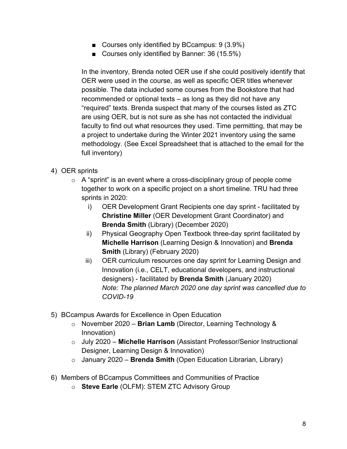- Courses only identified by BCcampus: 9 (3.9%)
- Courses only identified by Banner: 36 (15.5%)

In the inventory, Brenda noted OER use if she could positively identify that OER were used in the course, as well as specific OER titles whenever possible. The data included some courses from the Bookstore that had recommended or optional texts – as long as they did not have any "required" texts. Brenda suspect that many of the courses listed as ZTC are using OER, but is not sure as she has not contacted the individual faculty to find out what resources they used. Time permitting, that may be a project to undertake during the Winter 2021 inventory using the same methodology. (See Excel Spreadsheet that is attached to the email for the full inventory)

- 4) OER sprints
	- $\circ$  A "sprint" is an event where a cross-disciplinary group of people come together to work on a specific project on a short timeline. TRU had three sprints in 2020:
		- i) OER Development Grant Recipients one day sprint facilitated by **Christine Miller** (OER Development Grant Coordinator) and **Brenda Smith** (Library) (December 2020)
		- ii) Physical Geography Open Textbook three-day sprint facilitated by **Michelle Harrison** (Learning Design & Innovation) and **Brenda Smith** (Library) (February 2020)
		- iii) OER curriculum resources one day sprint for Learning Design and Innovation (i.e., CELT, educational developers, and instructional designers) - facilitated by **Brenda Smith** (January 2020) *Note: The planned March 2020 one day sprint was cancelled due to COVID-19*
- 5) BCcampus Awards for Excellence in Open Education
	- o November 2020 **Brian Lamb** (Director, Learning Technology & Innovation)
	- o July 2020 **Michelle Harrison** (Assistant Professor/Senior Instructional Designer, Learning Design & Innovation)
	- o January 2020 **Brenda Smith** (Open Education Librarian, Library)
- 6) Members of BCcampus Committees and Communities of Practice
	- o **Steve Earle** (OLFM): STEM ZTC Advisory Group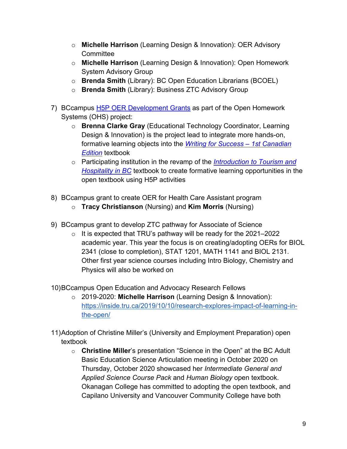- o **Michelle Harrison** (Learning Design & Innovation): OER Advisory **Committee**
- o **Michelle Harrison** (Learning Design & Innovation): Open Homework System Advisory Group
- o **Brenda Smith** (Library): BC Open Education Librarians (BCOEL)
- o **Brenda Smith** (Library): Business ZTC Advisory Group
- 7) BCcampus [H5P OER Development Grants](https://bccampus.ca/2020/07/06/homework-high-five-bccampus-awards-five-open-education-development-grants-as-part-of-the-open-homework-project/) as part of the Open Homework Systems (OHS) project:
	- o **Brenna Clarke Gray** (Educational Technology Coordinator, Learning Design & Innovation) is the project lead to integrate more hands-on, formative learning objects into the *[Writing for Success –](https://open.bccampus.ca/browse-our-collection/find-open-textbooks/?uuid=8d415c45-41da-4c9d-8c9d-ab66bbdd359c&contributor=&keyword=&subject=) 1st Canadian [Edition](https://open.bccampus.ca/browse-our-collection/find-open-textbooks/?uuid=8d415c45-41da-4c9d-8c9d-ab66bbdd359c&contributor=&keyword=&subject=)* textbook
	- o Participating institution in the revamp of the *[Introduction to Tourism and](https://open.bccampus.ca/browse-our-collection/find-open-textbooks/?uuid=fdb68dba-0709-4778-a2f7-af8bafd84fa9&contributor=&keyword=&subject=)  [Hospitality in BC](https://open.bccampus.ca/browse-our-collection/find-open-textbooks/?uuid=fdb68dba-0709-4778-a2f7-af8bafd84fa9&contributor=&keyword=&subject=)* textbook to create formative learning opportunities in the open textbook using H5P activities
- 8) BCcampus grant to create OER for Health Care Assistant program
	- o **Tracy Christianson** (Nursing) and **Kim Morris** (Nursing)
- 9) BCcampus grant to develop ZTC pathway for Associate of Science
	- $\circ$  It is expected that TRU's pathway will be ready for the 2021–2022 academic year. This year the focus is on creating/adopting OERs for BIOL 2341 (close to completion), STAT 1201, MATH 1141 and BIOL 2131. Other first year science courses including Intro Biology, Chemistry and Physics will also be worked on
- 10)BCcampus Open Education and Advocacy Research Fellows
	- o 2019-2020: **Michelle Harrison** (Learning Design & Innovation): [https://inside.tru.ca/2019/10/10/research-explores-impact-of-learning-in](https://inside.tru.ca/2019/10/10/research-explores-impact-of-learning-in-the-open/)[the-open/](https://inside.tru.ca/2019/10/10/research-explores-impact-of-learning-in-the-open/)
- 11)Adoption of Christine Miller's (University and Employment Preparation) open textbook
	- o **Christine Miller**'s presentation "Science in the Open" at the BC Adult Basic Education Science Articulation meeting in October 2020 on Thursday, October 2020 showcased her *Intermediate General and Applied Science Course Pack* and *Human Biology* open textbook. Okanagan College has committed to adopting the open textbook, and Capilano University and Vancouver Community College have both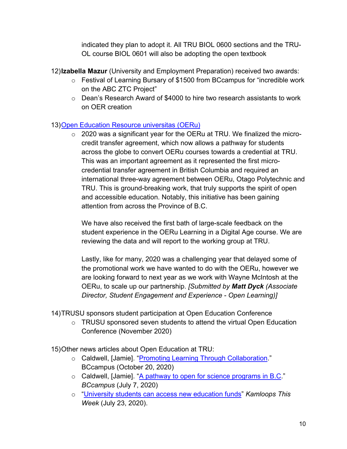indicated they plan to adopt it. All TRU BIOL 0600 sections and the TRU-OL course BIOL 0601 will also be adopting the open textbook

12)**Izabella Mazur** (University and Employment Preparation) received two awards:

- o Festival of Learning Bursary of \$1500 from BCcampus for "incredible work on the ABC ZTC Project"
- o Dean's Research Award of \$4000 to hire two research assistants to work on OER creation

#### 13[\)Open Education Resource universitas \(OERu\)](https://oeru.org/)

o 2020 was a significant year for the OERu at TRU. We finalized the microcredit transfer agreement, which now allows a pathway for students across the globe to convert OERu courses towards a credential at TRU. This was an important agreement as it represented the first microcredential transfer agreement in British Columbia and required an international three-way agreement between OERu, Otago Polytechnic and TRU. This is ground-breaking work, that truly supports the spirit of open and accessible education. Notably, this initiative has been gaining attention from across the Province of B.C.

We have also received the first bath of large-scale feedback on the student experience in the OERu Learning in a Digital Age course. We are reviewing the data and will report to the working group at TRU.

Lastly, like for many, 2020 was a challenging year that delayed some of the promotional work we have wanted to do with the OERu, however we are looking forward to next year as we work with Wayne McIntosh at the OERu, to scale up our partnership. *[Submitted by Matt Dyck (Associate Director, Student Engagement and Experience - Open Learning)]*

14)TRUSU sponsors student participation at Open Education Conference

o TRUSU sponsored seven students to attend the virtual Open Education Conference (November 2020)

15)Other news articles about Open Education at TRU:

- o Caldwell, [Jamie]. ["Promoting Learning Through Collaboration.](https://bccampus.ca/2020/10/20/promoting-learning-through-collaboration/)" BCcampus (October 20, 2020)
- o Caldwell, [Jamie]. ["A pathway to open for science programs in B.C.](https://bccampus.ca/2020/07/07/a-pathway-to-open-for-science-programs-in-b-c/)" *BCcampus* (July 7, 2020)
- o ["University students can access new education funds"](https://www.kamloopsthisweek.com/community/university-students-can-access-new-education-funds-1.24174991) *Kamloops This Week* (July 23, 2020).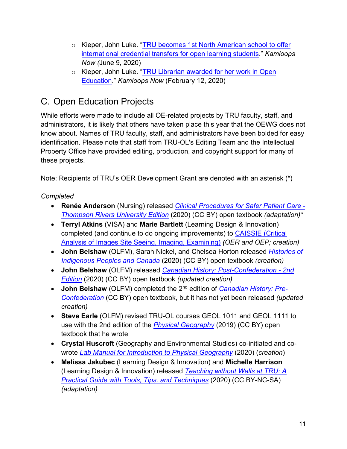- o Kieper, John Luke. "TRU becomes 1st North American school to offer [international credential transfers for open learning students.](https://www.kamloopsbcnow.com/watercooler/news/news/Kamloops/TRU_becomes_1st_North_American_school_to_offer_international_credential_transfers_for_open_learning_students)" *Kamloops Now (*June 9, 2020)
- o Kieper, John Luke. ["TRU Librarian awarded for her work in Open](https://www.kamloopsbcnow.com/watercooler/news/news/Kamloops/TRU_Librarian_awarded_for_her_work_in_Open_Education)  [Education.](https://www.kamloopsbcnow.com/watercooler/news/news/Kamloops/TRU_Librarian_awarded_for_her_work_in_Open_Education)" *Kamloops Now* (February 12, 2020)

## <span id="page-11-0"></span>C. Open Education Projects

While efforts were made to include all OE-related projects by TRU faculty, staff, and administrators, it is likely that others have taken place this year that the OEWG does not know about. Names of TRU faculty, staff, and administrators have been bolded for easy identification. Please note that staff from TRU-OL's Editing Team and the Intellectual Property Office have provided editing, production, and copyright support for many of these projects.

Note: Recipients of TRU's OER Development Grant are denoted with an asterisk (\*)

#### *Completed*

- **Renée Anderson** (Nursing) released *[Clinical Procedures for Safer Patient Care -](https://open.bccampus.ca/browse-our-collection/find-open-textbooks/?uuid=c4d0d418-cca4-47cb-8845-b123152d9c52&contributor=&keyword=&subject=) [Thompson Rivers University Edition](https://open.bccampus.ca/browse-our-collection/find-open-textbooks/?uuid=c4d0d418-cca4-47cb-8845-b123152d9c52&contributor=&keyword=&subject=)* (2020) (CC BY) open textbook *(adaptation)\**
- **Terryl Atkins** (VISA) and **Marie Bartlett** (Learning Design & Innovation) completed (and continue to do ongoing improvements) to [CAISSIE \(Critical](https://caissie.trubox.ca/)  [Analysis of Images Site Seeing, Imaging, Examining\)](https://caissie.trubox.ca/) *(OER and OEP; creation)*
- **John Belshaw** (OLFM), Sarah Nickel, and Chelsea Horton released *[Histories of](http://histindigenouspeoples.pressbooks.tru.ca/)  [Indigenous Peoples and Canada](http://histindigenouspeoples.pressbooks.tru.ca/)* (2020) (CC BY) open textbook *(creation)*
- **John Belshaw** (OLFM) released *[Canadian History: Post-Confederation -](https://open.bccampus.ca/browse-our-collection/find-open-textbooks/?uuid=87cb3328-e6d5-4723-86d8-10fc7342e8dd&contributor=&keyword=&subject=) 2nd [Edition](https://open.bccampus.ca/browse-our-collection/find-open-textbooks/?uuid=87cb3328-e6d5-4723-86d8-10fc7342e8dd&contributor=&keyword=&subject=)* (2020) (CC BY) open textbook *(updated creation)*
- **John Belshaw** (OLFM) completed the 2<sup>nd</sup> edition of *[Canadian History: Pre-](https://opentextbc.ca/preconfederation/)[Confederation](https://opentextbc.ca/preconfederation/)* (CC BY) open textbook, but it has not yet been released *(updated creation)*
- **Steve Earle** (OLFM) revised TRU-OL courses GEOL 1011 and GEOL 1111 to use with the 2nd edition of the *[Physical Geography](https://opentextbc.ca/physicalgeology2ed/)* (2019) (CC BY) open textbook that he wrote
- **Crystal Huscroft** (Geography and Environmental Studies) co-initiated and cowrote *[Lab Manual for Introduction to Physical Geography](https://pressbooks.bccampus.ca/geoglabs2020/)* (2020) (*creation*)
- **Melissa Jakubec** (Learning Design & Innovation) and **Michelle Harrison** (Learning Design & Innovation) released *[Teaching without Walls at TRU: A](https://remoteteaching.pressbooks.tru.ca/)  [Practical Guide with Tools, Tips, and Techniques](https://remoteteaching.pressbooks.tru.ca/)* (2020) (CC BY-NC-SA) *(adaptation)*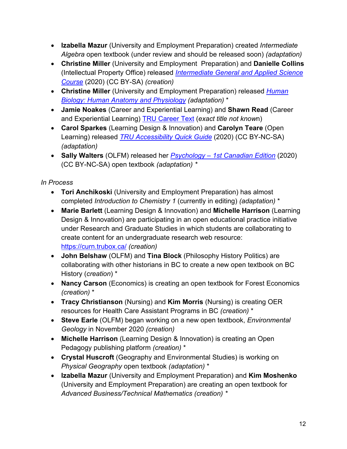- **Izabella Mazur** (University and Employment Preparation) created *Intermediate Algebra* open textbook (under review and should be released soon) *(adaptation)*
- **Christine Miller** (University and Employment Preparation) and **Danielle Collins**  (Intellectual Property Office) released *[Intermediate General and Applied Science](https://open.bccampus.ca/browse-our-collection/find-open-textbooks/?uuid=65e119be-f073-4408-8842-b8a9f44aef3a&contributor=&keyword=&subject=)  [Course](https://open.bccampus.ca/browse-our-collection/find-open-textbooks/?uuid=65e119be-f073-4408-8842-b8a9f44aef3a&contributor=&keyword=&subject=)* (2020) (CC BY-SA) *(creation)*
- **Christine Miller** (University and Employment Preparation) released *[Human](https://open.bccampus.ca/browse-our-collection/find-open-textbooks/?uuid=f64fb7eb-0a69-4492-8bbc-24814ca7e14d&contributor=&keyword=&subject=)  [Biology:](https://open.bccampus.ca/browse-our-collection/find-open-textbooks/?uuid=f64fb7eb-0a69-4492-8bbc-24814ca7e14d&contributor=&keyword=&subject=) Human Anatomy and Physiology (adaptation)* \*
- **Jamie Noakes** (Career and Experiential Learning) and **Shawn Read** (Career and Experiential Learning) [TRU Career Text](https://trucareertext.pressbooks.tru.ca/) (*exact title not know*n)
- **Carol Sparkes** (Learning Design & Innovation) and **Carolyn Teare** (Open Learning) released *[TRU Accessibility Quick Guide](https://ideas.trubox.ca/wp-content/uploads/sites/34/2020/05/TRU_AccessibilityQuickGuide_Final_March2020_OER.pdf)* (2020) (CC BY-NC-SA) *(adaptation)*
- **Sally Walters** (OLFM) released her *Psychology – [1st Canadian Edition](https://psychology.pressbooks.tru.ca/)* (2020) (CC BY-NC-SA) open textbook *(adaptation) \**

*In Process*

- **Tori Anchikoski** (University and Employment Preparation) has almost completed *Introduction to Chemistry 1* (currently in editing) *(adaptation)* \*
- **Marie Barlett** (Learning Design & Innovation) and **Michelle Harrison** (Learning Design & Innovation) are participating in an open educational practice initiative under Research and Graduate Studies in which students are collaborating to create content for an undergraduate research web resource: <https://curn.trubox.ca/> *(creation)*
- **John Belshaw** (OLFM) and **Tina Block** (Philosophy History Politics) are collaborating with other historians in BC to create a new open textbook on BC History (*creation*) \*
- **Nancy Carson** (Economics) is creating an open textbook for Forest Economics *(creation)* \*
- **Tracy Christianson** (Nursing) and **Kim Morris** (Nursing) is creating OER resources for Health Care Assistant Programs in BC *(creation)* \*
- **Steve Earle** (OLFM) began working on a new open textbook, *Environmental Geology* in November 2020 *(creation)*
- **Michelle Harrison** (Learning Design & Innovation) is creating an Open Pedagogy publishing platform *(creation)* \*
- **Crystal Huscroft** (Geography and Environmental Studies) is working on *Physical Geography* open textbook *(adaptation)* \*
- **Izabella Mazur** (University and Employment Preparation) and **Kim Moshenko**  (University and Employment Preparation) are creating an open textbook for *Advanced Business/Technical Mathematics (creation) \**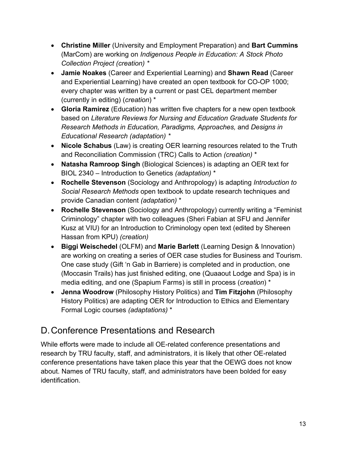- **Christine Miller** (University and Employment Preparation) and **Bart Cummins** (MarCom) are working on *Indigenous People in Education: A Stock Photo Collection Project (creation) \**
- **Jamie Noakes** (Career and Experiential Learning) and **Shawn Read** (Career and Experiential Learning) have created an open textbook for CO-OP 1000; every chapter was written by a current or past CEL department member (currently in editing) (*creation*) \*
- **Gloria Ramirez** (Education) has written five chapters for a new open textbook based on *Literature Reviews for Nursing and Education Graduate Students for Research Methods in Education, Paradigms, Approaches,* and *Designs in Educational Research (adaptation) \**
- **Nicole Schabus** (Law) is creating OER learning resources related to the Truth and Reconciliation Commission (TRC) Calls to Action *(creation)* \*
- **Natasha Ramroop Singh** (Biological Sciences) is adapting an OER text for BIOL 2340 – Introduction to Genetics *(adaptation)* \*
- **Rochelle Stevenson** (Sociology and Anthropology) is adapting *Introduction to Social Research Methods* open textbook to update research techniques and provide Canadian content *(adaptation)* \*
- **Rochelle Stevenson** (Sociology and Anthropology) currently writing a "Feminist Criminology" chapter with two colleagues (Sheri Fabian at SFU and Jennifer Kusz at VIU) for an Introduction to Criminology open text (edited by Shereen Hassan from KPU) *(creation)*
- **Biggi Weischedel** (OLFM) and **Marie Barlett** (Learning Design & Innovation) are working on creating a series of OER case studies for Business and Tourism. One case study (Gift 'n Gab in Barriere) is completed and in production, one (Moccasin Trails) has just finished editing, one (Quaaout Lodge and Spa) is in media editing, and one (Spapium Farms) is still in process (*creation*) \*
- **Jenna Woodrow** (Philosophy History Politics) and **Tim Fitzjohn** (Philosophy History Politics) are adapting OER for Introduction to Ethics and Elementary Formal Logic courses *(adaptations)* \*

## <span id="page-13-0"></span>D.Conference Presentations and Research

While efforts were made to include all OE-related conference presentations and research by TRU faculty, staff, and administrators, it is likely that other OE-related conference presentations have taken place this year that the OEWG does not know about. Names of TRU faculty, staff, and administrators have been bolded for easy identification.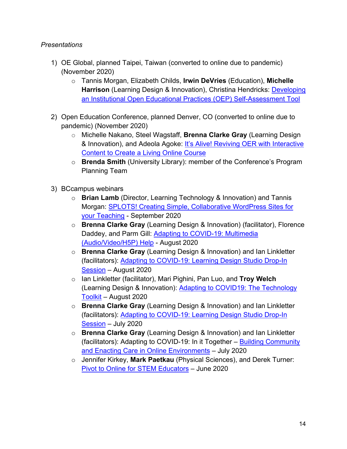#### *Presentations*

- 1) OE Global, planned Taipei, Taiwan (converted to online due to pandemic) (November 2020)
	- o Tannis Morgan, Elizabeth Childs, **Irwin DeVries** (Education), **Michelle Harrison** (Learning Design & Innovation), Christina Hendricks: **Developing** [an Institutional Open Educational Practices \(OEP\) Self-Assessment Tool](https://connect.oeglobal.org/t/developing-an-institutional-open-educational-practices-oep-self-assessment-tool/476)
- 2) Open Education Conference, planned Denver, CO (converted to online due to pandemic) (November 2020)
	- o Michelle Nakano, Steel Wagstaff, **Brenna Clarke Gray** (Learning Design & Innovation), and Adeola Agoke: [It's Alive! Reviving OER with Interactive](https://opened20.sched.com/event/fCq5/its-alive-reviving-oer-with-interactive-content-to-create-a-living-online-course?iframe=yes&w=100%25&sidebar=yes&bg=no)  [Content to Create a Living Online Course](https://opened20.sched.com/event/fCq5/its-alive-reviving-oer-with-interactive-content-to-create-a-living-online-course?iframe=yes&w=100%25&sidebar=yes&bg=no)
	- o **Brenda Smith** (University Library): member of the Conference's Program Planning Team
- 3) BCcampus webinars
	- o **Brian Lamb** (Director, Learning Technology & Innovation) and Tannis Morgan: [SPLOTS! Creating Simple, Collaborative WordPress Sites for](https://bccampus.ca/event/splots-creating-simple-collaborative-wordpress-sites-for-your-teaching/)  [your Teaching](https://bccampus.ca/event/splots-creating-simple-collaborative-wordpress-sites-for-your-teaching/) - September 2020
	- o **Brenna Clarke Gray** (Learning Design & Innovation) (facilitator), Florence Daddey, and Parm Gill: [Adapting to COVID-19: Multimedia](https://covid19.bccampus.ca/online-learning-teaching/adapting-to-covid-19-multimedia-audio-video-h5p-help/)  [\(Audio/Video/H5P\) Help](https://covid19.bccampus.ca/online-learning-teaching/adapting-to-covid-19-multimedia-audio-video-h5p-help/) - August 2020
	- o **Brenna Clarke Gray** (Learning Design & Innovation) and Ian Linkletter (facilitators): [Adapting to COVID-19: Learning Design Studio Drop-In](https://covid19.bccampus.ca/online-learning-teaching/adapting-to-covid-19-learning-design-studio-drop-in-session-2/)  [Session](https://covid19.bccampus.ca/online-learning-teaching/adapting-to-covid-19-learning-design-studio-drop-in-session-2/) – August 2020
	- o Ian Linkletter (facilitator), Mari Pighini, Pan Luo, and **Troy Welch** (Learning Design & Innovation): [Adapting to COVID19: The Technology](https://covid19.bccampus.ca/webinars/adapting-to-covid19-the-technology-toolkit/)  [Toolkit](https://covid19.bccampus.ca/webinars/adapting-to-covid19-the-technology-toolkit/) – August 2020
	- o **Brenna Clarke Gray** (Learning Design & Innovation) and Ian Linkletter (facilitators): [Adapting to COVID-19: Learning Design Studio Drop-In](https://covid19.bccampus.ca/webinars/adapting-to-covid-19-learning-design-studio-drop-in-session/)  [Session](https://covid19.bccampus.ca/webinars/adapting-to-covid-19-learning-design-studio-drop-in-session/) – July 2020
	- o **Brenna Clarke Gray** (Learning Design & Innovation) and Ian Linkletter (facilitators): Adapting to COVID-19: In it Together – [Building Community](https://covid19.bccampus.ca/mental-health-support/adapting-to-covid-19-in-it-together-building-community-and-enacting-care-in-on-line-environments/)  [and Enacting Care in Online Environments](https://covid19.bccampus.ca/mental-health-support/adapting-to-covid-19-in-it-together-building-community-and-enacting-care-in-on-line-environments/) – July 2020
	- o Jennifer Kirkey, **Mark Paetkau** (Physical Sciences), and Derek Turner: [Pivot to Online for STEM Educators](https://bccampus.ca/event/pivot-to-online-for-stem-educators/) – June 2020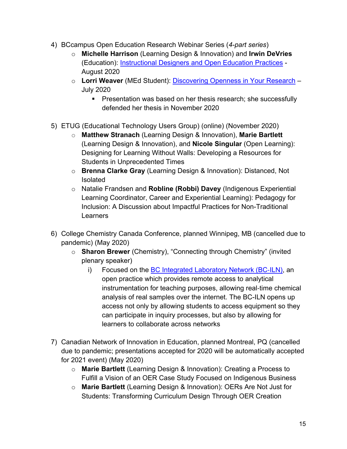- 4) BCcampus Open Education Research Webinar Series (*4-part series*)
	- o **Michelle Harrison** (Learning Design & Innovation) and **Irwin DeVries** (Education): [Instructional Designers and Open Education Practices](https://bccampus.ca/event/instructional-designers-and-open-education-practices/) - August 2020
	- o **Lorri Weaver** (MEd Student): [Discovering Openness in Your Research](https://bccampus.ca/event/discovering-openness-in-your-research/) July 2020
		- **Presentation was based on her thesis research; she successfully** defended her thesis in November 2020
- 5) ETUG (Educational Technology Users Group) (online) (November 2020)
	- o **Matthew Stranach** (Learning Design & Innovation), **Marie Bartlett**  (Learning Design & Innovation), and **Nicole Singular** (Open Learning): Designing for Learning Without Walls: Developing a Resources for Students in Unprecedented Times
	- o **Brenna Clarke Gray** (Learning Design & Innovation): Distanced, Not Isolated
	- o Natalie Frandsen and **Robline (Robbi) Davey** (Indigenous Experiential Learning Coordinator, Career and Experiential Learning): Pedagogy for Inclusion: A Discussion about Impactful Practices for Non-Traditional **Learners**
- 6) College Chemistry Canada Conference, planned Winnipeg, MB (cancelled due to pandemic) (May 2020)
	- o **Sharon Brewer** (Chemistry), "Connecting through Chemistry" (invited plenary speaker)
		- i) Focused on the [BC Integrated Laboratory Network \(BC](http://www.bciln.ca/)-ILN), an open practice which provides remote access to analytical instrumentation for teaching purposes, allowing real‐time chemical analysis of real samples over the internet. The BC-ILN opens up access not only by allowing students to access equipment so they can participate in inquiry processes, but also by allowing for learners to collaborate across networks
- 7) Canadian Network of Innovation in Education, planned Montreal, PQ (cancelled due to pandemic; presentations accepted for 2020 will be automatically accepted for 2021 event) (May 2020)
	- o **Marie Bartlett** (Learning Design & Innovation): Creating a Process to Fulfill a Vision of an OER Case Study Focused on Indigenous Business
	- o **Marie Bartlett** (Learning Design & Innovation): OERs Are Not Just for Students: Transforming Curriculum Design Through OER Creation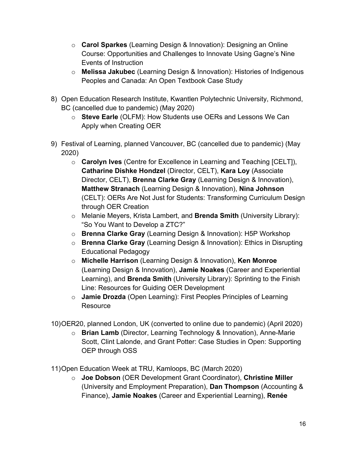- o **Carol Sparkes** (Learning Design & Innovation): Designing an Online Course: Opportunities and Challenges to Innovate Using Gagne's Nine Events of Instruction
- o **Melissa Jakubec** (Learning Design & Innovation): Histories of Indigenous Peoples and Canada: An Open Textbook Case Study
- 8) Open Education Research Institute, Kwantlen Polytechnic University, Richmond, BC (cancelled due to pandemic) (May 2020)
	- o **Steve Earle** (OLFM): How Students use OERs and Lessons We Can Apply when Creating OER
- 9) Festival of Learning, planned Vancouver, BC (cancelled due to pandemic) (May 2020)
	- o **Carolyn Ives** (Centre for Excellence in Learning and Teaching [CELT]), **Catharine Dishke Hondzel** (Director, CELT), **Kara Loy** (Associate Director, CELT), **Brenna Clarke Gray** (Learning Design & Innovation), **Matthew Stranach** (Learning Design & Innovation), **Nina Johnson**  (CELT): OERs Are Not Just for Students: Transforming Curriculum Design through OER Creation
	- o Melanie Meyers, Krista Lambert, and **Brenda Smith** (University Library): "So You Want to Develop a ZTC?"
	- o **Brenna Clarke Gray** (Learning Design & Innovation): H5P Workshop
	- o **Brenna Clarke Gray** (Learning Design & Innovation): Ethics in Disrupting Educational Pedagogy
	- o **Michelle Harrison** (Learning Design & Innovation), **Ken Monroe**  (Learning Design & Innovation), **Jamie Noakes** (Career and Experiential Learning), and **Brenda Smith** (University Library): Sprinting to the Finish Line: Resources for Guiding OER Development
	- o **Jamie Drozda** (Open Learning): First Peoples Principles of Learning **Resource**
- 10)OER20, planned London, UK (converted to online due to pandemic) (April 2020)
	- o **Brian Lamb** (Director, Learning Technology & Innovation), Anne-Marie Scott, Clint Lalonde, and Grant Potter: Case Studies in Open: Supporting OEP through OSS

11)Open Education Week at TRU, Kamloops, BC (March 2020)

o **Joe Dobson** (OER Development Grant Coordinator), **Christine Miller**  (University and Employment Preparation), **Dan Thompson** (Accounting & Finance), **Jamie Noakes** (Career and Experiential Learning), **Renée**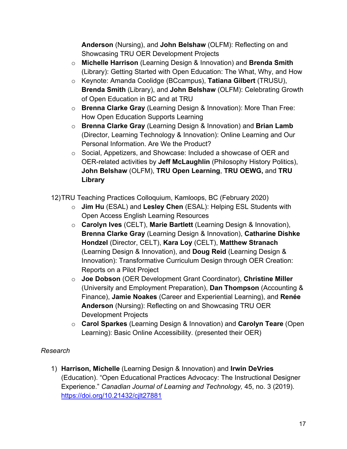**Anderson** (Nursing), and **John Belshaw** (OLFM): Reflecting on and Showcasing TRU OER Development Projects

- o **Michelle Harrison** (Learning Design & Innovation) and **Brenda Smith**  (Library): Getting Started with Open Education: The What, Why, and How
- o Keynote: Amanda Coolidge (BCcampus), **Tatiana Gilbert** (TRUSU), **Brenda Smith** (Library), and **John Belshaw** (OLFM): Celebrating Growth of Open Education in BC and at TRU
- o **Brenna Clarke Gray** (Learning Design & Innovation): More Than Free: How Open Education Supports Learning
- o **Brenna Clarke Gray** (Learning Design & Innovation) and **Brian Lamb**  (Director, Learning Technology & Innovation): Online Learning and Our Personal Information. Are We the Product?
- o Social, Appetizers, and Showcase: Included a showcase of OER and OER-related activities by **Jeff McLaughlin** (Philosophy History Politics), **John Belshaw** (OLFM), **TRU Open Learning**, **TRU OEWG,** and **TRU Library**
- 12)TRU Teaching Practices Colloquium, Kamloops, BC (February 2020)
	- o **Jim Hu** (ESAL) and **Lesley Chen** (ESAL): Helping ESL Students with Open Access English Learning Resources
	- o **Carolyn Ives** (CELT), **Marie Bartlett** (Learning Design & Innovation), **Brenna Clarke Gray** (Learning Design & Innovation), **Catharine Dishke Hondzel** (Director, CELT), **Kara Loy** (CELT), **Matthew Stranach** (Learning Design & Innovation), and **Doug Reid** (Learning Design & Innovation): Transformative Curriculum Design through OER Creation: Reports on a Pilot Project
	- o **Joe Dobson** (OER Development Grant Coordinator), **Christine Miller**  (University and Employment Preparation), **Dan Thompson** (Accounting & Finance), **Jamie Noakes** (Career and Experiential Learning), and **Renée Anderson** (Nursing): Reflecting on and Showcasing TRU OER Development Projects
	- o **Carol Sparkes** (Learning Design & Innovation) and **Carolyn Teare** (Open Learning): Basic Online Accessibility. (presented their OER)

#### *Research*

1) **Harrison, Michelle** (Learning Design & Innovation) and **Irwin DeVries** (Education). "Open Educational Practices Advocacy: The Instructional Designer Experience." *Canadian Journal of Learning and Technology,* 45, no. 3 (2019). <https://doi.org/10.21432/cjlt27881>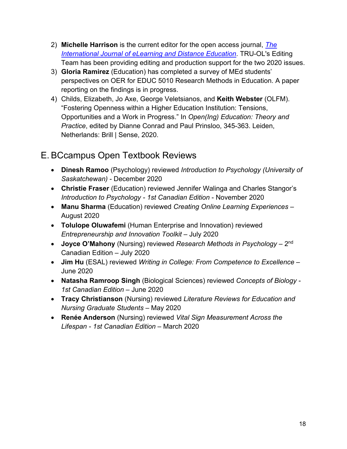- 2) **Michelle Harrison** is the current editor for the open access journal, *[The](http://www.ijede.ca/index.php/jde)  [International Journal of eLearning and Distance Education](http://www.ijede.ca/index.php/jde)*. TRU-OL's Editing Team has been providing editing and production support for the two 2020 issues.
- 3) **Gloria Ramirez** (Education) has completed a survey of MEd students' perspectives on OER for EDUC 5010 Research Methods in Education. A paper reporting on the findings is in progress.
- 4) Childs, Elizabeth, Jo Axe, George Veletsianos, and **Keith Webster** (OLFM). "Fostering Openness within a Higher Education Institution: Tensions, Opportunities and a Work in Progress." In *Open(Ing) Education: Theory and Practice*, edited by Dianne Conrad and Paul Prinsloo, 345-363. Leiden, Netherlands: Brill | Sense, 2020.

### <span id="page-18-0"></span>E. BCcampus Open Textbook Reviews

- **Dinesh Ramoo** (Psychology) reviewed *Introduction to Psychology (University of Saskatchewan)* - December 2020
- **Christie Fraser** (Education) reviewed Jennifer Walinga and Charles Stangor's *Introduction to Psychology - 1st Canadian Edition* - November 2020
- **Manu Sharma** (Education) reviewed *Creating Online Learning Experiences*  August 2020
- **Tolulope Oluwafemi** (Human Enterprise and Innovation) reviewed *Entrepreneurship and Innovation Toolkit* – July 2020
- **Joyce O'Mahony** (Nursing) reviewed *Research Methods in Psychology*  2nd Canadian Edition – July 2020
- **Jim Hu** (ESAL) reviewed *Writing in College: From Competence to Excellence*  June 2020
- **Natasha Ramroop Singh** (Biological Sciences) reviewed *Concepts of Biology - 1st Canadian Edition* – June 2020
- **Tracy Christianson** (Nursing) reviewed *Literature Reviews for Education and Nursing Graduate Students* – May 2020
- **Renée Anderson** (Nursing) reviewed *Vital Sign Measurement Across the Lifespan - 1st Canadian Edition* – March 2020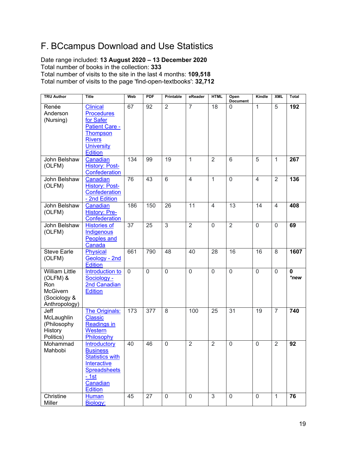## <span id="page-19-0"></span>F. BCcampus Download and Use Statistics

Date range included: **13 August 2020 – 13 December 2020** Total number of books in the collection: **333** Total number of visits to the site in the last 4 months: **109,518** Total number of visits to the page 'find-open-textbooks': **32,712**

| <b>TRU Author</b>                                                                            | <b>Title</b>                                                                                                                            | Web            | <b>PDF</b>  | Printable      | eReader         | <b>HTML</b>     | Open<br><b>Document</b> | Kindle         | <b>XML</b>     | <b>Total</b>        |
|----------------------------------------------------------------------------------------------|-----------------------------------------------------------------------------------------------------------------------------------------|----------------|-------------|----------------|-----------------|-----------------|-------------------------|----------------|----------------|---------------------|
| Renée<br>Anderson<br>(Nursing)                                                               | Clinical<br><b>Procedures</b><br>for Safer                                                                                              | 67             | 92          | $\overline{2}$ | $\overline{7}$  | $\overline{18}$ | $\Omega$                | $\overline{1}$ | $\overline{5}$ | 192                 |
|                                                                                              | <b>Patient Care -</b><br><b>Thompson</b><br><b>Rivers</b><br><b>University</b><br><b>Edition</b>                                        |                |             |                |                 |                 |                         |                |                |                     |
| John Belshaw<br>(OLFM)                                                                       | Canadian<br><b>History: Post-</b><br>Confederation                                                                                      | 134            | 99          | 19             | $\mathbf{1}$    | $\overline{2}$  | 6                       | 5              | $\mathbf{1}$   | 267                 |
| John Belshaw<br>(OLFM)                                                                       | Canadian<br><b>History: Post-</b><br>Confederation<br>- 2nd Edition                                                                     | 76             | 43          | $\overline{6}$ | $\overline{4}$  | $\overline{1}$  | $\overline{0}$          | $\overline{4}$ | $\overline{2}$ | 136                 |
| John Belshaw<br>(OLFM)                                                                       | Canadian<br><b>History: Pre-</b><br>Confederation                                                                                       | 186            | 150         | 26             | $\overline{11}$ | $\overline{4}$  | $\overline{13}$         | 14             | $\overline{4}$ | 408                 |
| John Belshaw<br>(OLFM)                                                                       | <b>Histories of</b><br>Indigenous<br>Peoples and<br>Canada                                                                              | 37             | 25          | 3              | $\overline{2}$  | $\overline{0}$  | $\overline{2}$          | $\overline{0}$ | $\overline{0}$ | 69                  |
| <b>Steve Earle</b><br>(OLFM)                                                                 | Physical<br>Geology - 2nd<br><b>Edition</b>                                                                                             | 661            | 790         | 48             | 40              | 28              | 16                      | 16             | 8              | 1607                |
| <b>William Little</b><br>(OLFM) &<br>Ron<br><b>McGivern</b><br>(Sociology &<br>Anthropology) | Introduction to<br>Sociology -<br>2nd Canadian<br><b>Edition</b>                                                                        | $\overline{0}$ | $\mathbf 0$ | $\overline{0}$ | $\mathbf 0$     | $\overline{0}$  | $\overline{0}$          | $\overline{0}$ | $\mathbf 0$    | $\mathbf 0$<br>*new |
| Jeff<br>McLaughlin<br>(Philosophy<br>History<br>Politics)                                    | The Originals:<br><b>Classic</b><br><b>Readings in</b><br>Western<br>Philosophy                                                         | 173            | 377         | 8              | 100             | 25              | $\overline{31}$         | 19             | $\overline{7}$ | 740                 |
| Mohammad<br>Mahbobi                                                                          | Introductory<br><b>Business</b><br><b>Statistics with</b><br>Interactive<br><b>Spreadsheets</b><br>$-1st$<br>Canadian<br><b>Edition</b> | 40             | 46          | $\mathbf 0$    | $\overline{2}$  | $\overline{2}$  | $\mathbf 0$             | $\mathbf 0$    | $\overline{2}$ | 92                  |
| Christine<br>Miller                                                                          | <b>Human</b><br>Biology:                                                                                                                | 45             | 27          | $\mathbf 0$    | $\mathbf 0$     | 3               | $\mathbf 0$             | $\mathbf 0$    | 1              | 76                  |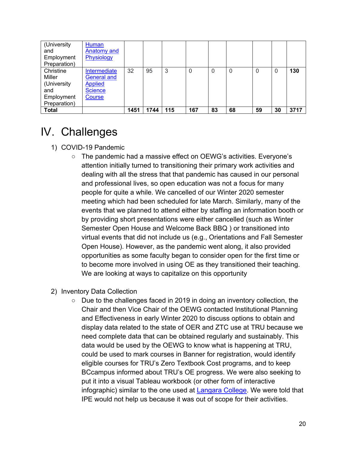| (University<br>and<br>Employment<br>Preparation)                        | Human<br>Anatomy and<br>Physiology                                               |      |      |     |                |    |    |    |    |      |
|-------------------------------------------------------------------------|----------------------------------------------------------------------------------|------|------|-----|----------------|----|----|----|----|------|
| Christine<br>Miller<br>(University<br>and<br>Employment<br>Preparation) | Intermediate<br><b>General and</b><br><b>Applied</b><br><b>Science</b><br>Course | 32   | 95   | 3   | $\overline{0}$ | 0  | 0  | 0  | 0  | 130  |
| <b>Total</b>                                                            |                                                                                  | 1451 | 1744 | 115 | 167            | 83 | 68 | 59 | 30 | 3717 |

## <span id="page-20-0"></span>IV. Challenges

- 1) COVID-19 Pandemic
	- The pandemic had a massive effect on OEWG's activities. Everyone's attention initially turned to transitioning their primary work activities and dealing with all the stress that that pandemic has caused in our personal and professional lives, so open education was not a focus for many people for quite a while. We cancelled of our Winter 2020 semester meeting which had been scheduled for late March. Similarly, many of the events that we planned to attend either by staffing an information booth or by providing short presentations were either cancelled (such as Winter Semester Open House and Welcome Back BBQ ) or transitioned into virtual events that did not include us (e.g., Orientations and Fall Semester Open House). However, as the pandemic went along, it also provided opportunities as some faculty began to consider open for the first time or to become more involved in using OE as they transitioned their teaching. We are looking at ways to capitalize on this opportunity
- 2) Inventory Data Collection
	- $\circ$  Due to the challenges faced in 2019 in doing an inventory collection, the Chair and then Vice Chair of the OEWG contacted Institutional Planning and Effectiveness in early Winter 2020 to discuss options to obtain and display data related to the state of OER and ZTC use at TRU because we need complete data that can be obtained regularly and sustainably. This data would be used by the OEWG to know what is happening at TRU, could be used to mark courses in Banner for registration, would identify eligible courses for TRU's Zero Textbook Cost programs, and to keep BCcampus informed about TRU's OE progress. We were also seeking to put it into a visual Tableau workbook (or other form of interactive infographic) similar to the one used at [Langara College.](https://langara.libguides.com/open-education) We were told that IPE would not help us because it was out of scope for their activities.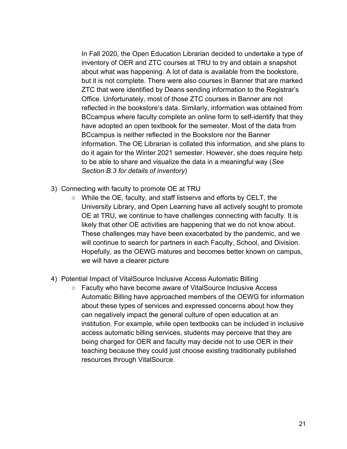In Fall 2020, the Open Education Librarian decided to undertake a type of inventory of OER and ZTC courses at TRU to try and obtain a snapshot about what was happening. A lot of data is available from the bookstore, but it is not complete. There were also courses in Banner that are marked ZTC that were identified by Deans sending information to the Registrar's Office. Unfortunately, most of those ZTC courses in Banner are not reflected in the bookstore's data. Similarly, information was obtained from BCcampus where faculty complete an online form to self-identify that they have adopted an open textbook for the semester. Most of the data from BCcampus is neither reflected in the Bookstore nor the Banner information. The OE Librarian is collated this information, and she plans to do it again for the Winter 2021 semester. However, she does require help to be able to share and visualize the data in a meaningful way (*See Section B.3 for details of inventory*)

- 3) Connecting with faculty to promote OE at TRU
	- While the OE, faculty, and staff listservs and efforts by CELT, the University Library, and Open Learning have all actively sought to promote OE at TRU, we continue to have challenges connecting with faculty. It is likely that other OE activities are happening that we do not know about. These challenges may have been exacerbated by the pandemic, and we will continue to search for partners in each Faculty, School, and Division. Hopefully, as the OEWG matures and becomes better known on campus, we will have a clearer picture
- 4) Potential Impact of VitalSource Inclusive Access Automatic Billing
	- Faculty who have become aware of VitalSource Inclusive Access Automatic Billing have approached members of the OEWG for information about these types of services and expressed concerns about how they can negatively impact the general culture of open education at an institution. For example, while open textbooks can be included in inclusive access automatic billing services, students may perceive that they are being charged for OER and faculty may decide not to use OER in their teaching because they could just choose existing traditionally published resources through VitalSource.